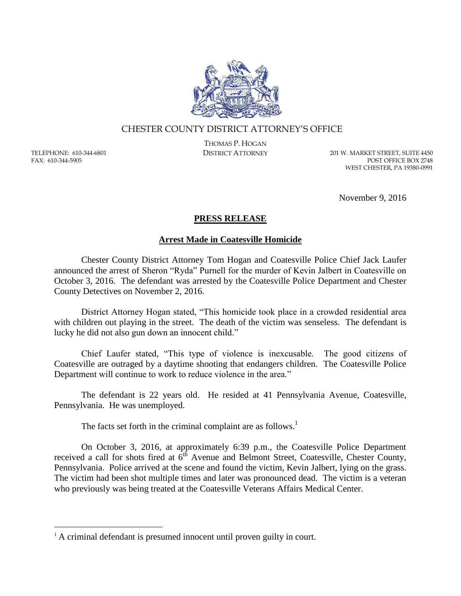

## CHESTER COUNTY DISTRICT ATTORNEY'S OFFICE

TELEPHONE: 610-344-6801 FAX: 610-344-5905

 $\overline{a}$ 

THOMAS P. HOGAN

DISTRICT ATTORNEY 201 W. MARKET STREET, SUITE 4450 POST OFFICE BOX 2748 WEST CHESTER, PA 19380-0991

November 9, 2016

## **PRESS RELEASE**

## **Arrest Made in Coatesville Homicide**

Chester County District Attorney Tom Hogan and Coatesville Police Chief Jack Laufer announced the arrest of Sheron "Ryda" Purnell for the murder of Kevin Jalbert in Coatesville on October 3, 2016. The defendant was arrested by the Coatesville Police Department and Chester County Detectives on November 2, 2016.

District Attorney Hogan stated, "This homicide took place in a crowded residential area with children out playing in the street. The death of the victim was senseless. The defendant is lucky he did not also gun down an innocent child."

Chief Laufer stated, "This type of violence is inexcusable. The good citizens of Coatesville are outraged by a daytime shooting that endangers children. The Coatesville Police Department will continue to work to reduce violence in the area."

The defendant is 22 years old. He resided at 41 Pennsylvania Avenue, Coatesville, Pennsylvania. He was unemployed.

The facts set forth in the criminal complaint are as follows.<sup>1</sup>

On October 3, 2016, at approximately 6:39 p.m., the Coatesville Police Department received a call for shots fired at  $6^{th}$  Avenue and Belmont Street, Coatesville, Chester County, Pennsylvania. Police arrived at the scene and found the victim, Kevin Jalbert, lying on the grass. The victim had been shot multiple times and later was pronounced dead. The victim is a veteran who previously was being treated at the Coatesville Veterans Affairs Medical Center.

<sup>&</sup>lt;sup>1</sup> A criminal defendant is presumed innocent until proven guilty in court.